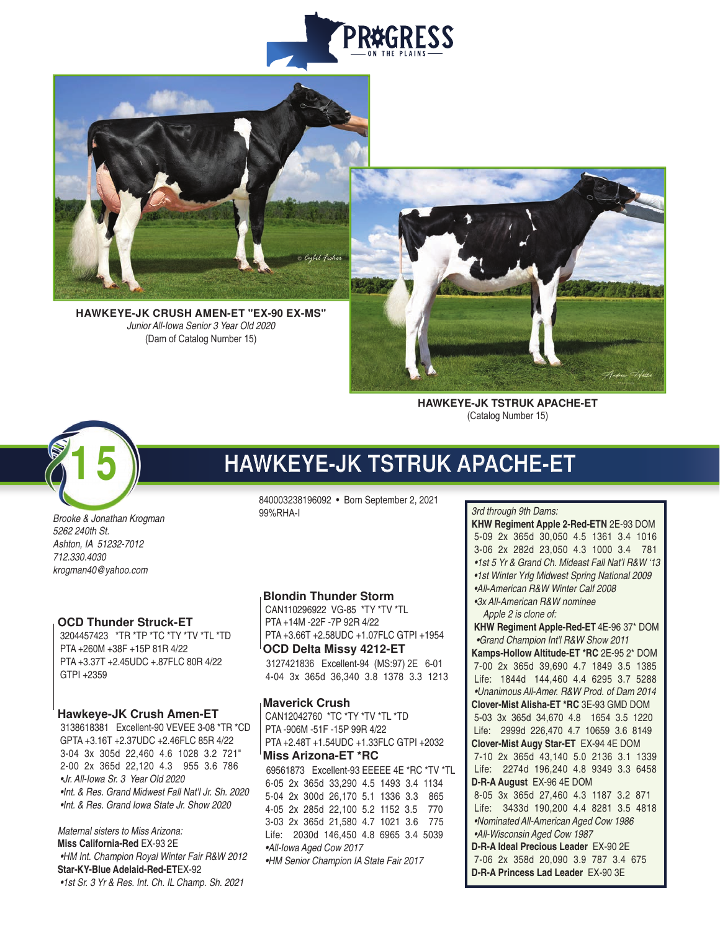



**HAWKEYE-JK CRUSH AMEN-ET "EX-90 EX-MS"** Junior All-Iowa Senior 3 Year Old 2020 (Dam of Catalog Number 15)



**HAWKEYE-JK TSTRUK APACHE-ET** (Catalog Number 15)



# **HAWKEYE-JK TSTRUK APACHE-ET**

Brooke & Jonathan Krogman 5262 240th St. Ashton, IA 51232-7012 712.330.4030 krogman40@yahoo.com

### **OCD Thunder Struck-ET**

 3204457423 \*TR \*TP \*TC \*TY \*TV \*TL \*TD PTA +260M +38F +15P 81R 4/22 PTA +3.37T +2.45UDC +.87FLC 80R 4/22 GTPI +2359

#### **Hawkeye-JK Crush Amen-ET**

3138618381 Excellent-90 VEVEE 3-08 \*TR \*CD GPTA +3.16T +2.37UDC +2.46FLC 85R 4/22 3-04 3x 305d 22,460 4.6 1028 3.2 721" 2-00 2x 365d 22,120 4.3 955 3.6 786 •Jr. All-Iowa Sr. 3 Year Old 2020 •Int. & Res. Grand Midwest Fall Nat'l Jr. Sh. 2020 •Int. & Res. Grand Iowa State Jr. Show 2020

Maternal sisters to Miss Arizona: **Miss California-Red** EX-93 2E •HM Int. Champion Royal Winter Fair R&W 2012 **Star-KY-Blue Adelaid-Red-ET**EX-92 •1st Sr. 3 Yr & Res. Int. Ch. IL Champ. Sh. 2021

840003238196092 • Born September 2, 2021 99%RHA-I

#### **Blondin Thunder Storm**

 CAN110296922 VG-85 \*TY \*TV \*TL PTA +14M -22F -7P 92R 4/22 PTA +3.66T +2.58UDC +1.07FLC GTPI +1954 **OCD Delta Missy 4212-ET** 3127421836 Excellent-94 (MS:97) 2E 6-01 4-04 3x 365d 36,340 3.8 1378 3.3 1213

#### **Maverick Crush**

 CAN12042760 \*TC \*TY \*TV \*TL \*TD PTA -906M -51F -15P 99R 4/22 PTA +2.48T +1.54UDC +1.33FLC GTPI +2032

### **Miss Arizona-ET \*RC** 69561873 Excellent-93 EEEEE 4E \*RC \*TV \*TL 6-05 2x 365d 33,290 4.5 1493 3.4 1134 5-04 2x 300d 26,170 5.1 1336 3.3 865 4-05 2x 285d 22,100 5.2 1152 3.5 770 3-03 2x 365d 21,580 4.7 1021 3.6 775 Life: 2030d 146,450 4.8 6965 3.4 5039 •All-Iowa Aged Cow 2017

•HM Senior Champion IA State Fair 2017

3rd through 9th Dams:

**KHW Regiment Apple 2-Red-ETN** 2E-93 DOM 5-09 2x 365d 30,050 4.5 1361 3.4 1016 3-06 2x 282d 23,050 4.3 1000 3.4 781 •1st 5 Yr & Grand Ch. Mideast Fall Nat'l R&W '13 •1st Winter Yrlg Midwest Spring National 2009 •All-American R&W Winter Calf 2008 •3x All-American R&W nominee Apple 2 is clone of:  **KHW Regiment Apple-Red-ET** 4E-96 37\* DOM •Grand Champion Int'l R&W Show 2011 **Kamps-Hollow Altitude-ET \*RC** 2E-95 2\* DOM 7-00 2x 365d 39,690 4.7 1849 3.5 1385 Life: 1844d 144,460 4.4 6295 3.7 5288 •Unanimous All-Amer. R&W Prod. of Dam 2014 **Clover-Mist Alisha-ET \*RC** 3E-93 GMD DOM 5-03 3x 365d 34,670 4.8 1654 3.5 1220 Life: 2999d 226,470 4.7 10659 3.6 8149 **Clover-Mist Augy Star-ET** EX-94 4E DOM 7-10 2x 365d 43,140 5.0 2136 3.1 1339 Life: 2274d 196,240 4.8 9349 3.3 6458 **D-R-A August** EX-96 4E DOM 8-05 3x 365d 27,460 4.3 1187 3.2 871 Life: 3433d 190,200 4.4 8281 3.5 4818

 •Nominated All-American Aged Cow 1986 •All-Wisconsin Aged Cow 1987 **D-R-A Ideal Precious Leader** EX-90 2E

 7-06 2x 358d 20,090 3.9 787 3.4 675 **D-R-A Princess Lad Leader** EX-90 3E